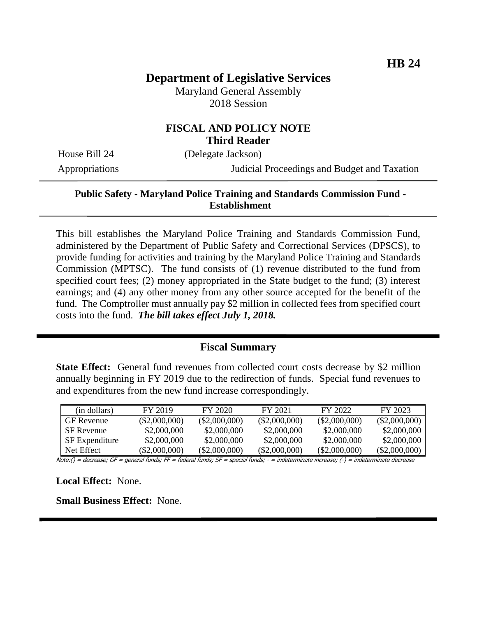# **Department of Legislative Services**

Maryland General Assembly 2018 Session

## **FISCAL AND POLICY NOTE Third Reader**

House Bill 24 (Delegate Jackson)

Appropriations Judicial Proceedings and Budget and Taxation

### **Public Safety - Maryland Police Training and Standards Commission Fund - Establishment**

This bill establishes the Maryland Police Training and Standards Commission Fund, administered by the Department of Public Safety and Correctional Services (DPSCS), to provide funding for activities and training by the Maryland Police Training and Standards Commission (MPTSC). The fund consists of (1) revenue distributed to the fund from specified court fees; (2) money appropriated in the State budget to the fund; (3) interest earnings; and (4) any other money from any other source accepted for the benefit of the fund. The Comptroller must annually pay \$2 million in collected fees from specified court costs into the fund. *The bill takes effect July 1, 2018.*

#### **Fiscal Summary**

**State Effect:** General fund revenues from collected court costs decrease by \$2 million annually beginning in FY 2019 due to the redirection of funds. Special fund revenues to and expenditures from the new fund increase correspondingly.

| (in dollars)          | FY 2019         | FY 2020         | FY 2021         | FY 2022         | FY 2023         |
|-----------------------|-----------------|-----------------|-----------------|-----------------|-----------------|
| <b>GF</b> Revenue     | $(\$2,000,000)$ | $(\$2,000,000)$ | $(\$2,000,000)$ | $(\$2,000,000)$ | $(\$2,000,000)$ |
| <b>SF</b> Revenue     | \$2,000,000     | \$2,000,000     | \$2,000,000     | \$2,000,000     | \$2,000,000     |
| <b>SF</b> Expenditure | \$2,000,000     | \$2,000,000     | \$2,000,000     | \$2,000,000     | \$2,000,000     |
| Net Effect            | $(\$2,000,000)$ | $(\$2,000,000)$ | $(\$2,000,000)$ | $(\$2,000,000)$ | $(\$2,000,000)$ |

Note:() = decrease; GF = general funds; FF = federal funds; SF = special funds; - = indeterminate increase; (-) = indeterminate decrease

**Local Effect:** None.

**Small Business Effect:** None.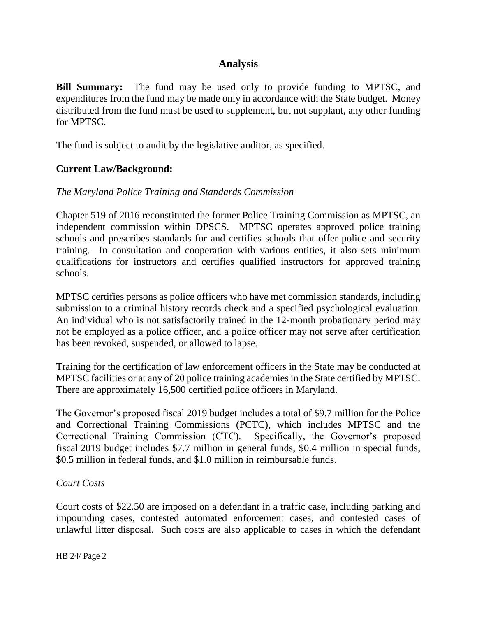# **Analysis**

**Bill Summary:** The fund may be used only to provide funding to MPTSC, and expenditures from the fund may be made only in accordance with the State budget. Money distributed from the fund must be used to supplement, but not supplant, any other funding for MPTSC.

The fund is subject to audit by the legislative auditor, as specified.

## **Current Law/Background:**

### *The Maryland Police Training and Standards Commission*

Chapter 519 of 2016 reconstituted the former Police Training Commission as MPTSC, an independent commission within DPSCS. MPTSC operates approved police training schools and prescribes standards for and certifies schools that offer police and security training. In consultation and cooperation with various entities, it also sets minimum qualifications for instructors and certifies qualified instructors for approved training schools.

MPTSC certifies persons as police officers who have met commission standards, including submission to a criminal history records check and a specified psychological evaluation. An individual who is not satisfactorily trained in the 12-month probationary period may not be employed as a police officer, and a police officer may not serve after certification has been revoked, suspended, or allowed to lapse.

Training for the certification of law enforcement officers in the State may be conducted at MPTSC facilities or at any of 20 police training academies in the State certified by MPTSC. There are approximately 16,500 certified police officers in Maryland.

The Governor's proposed fiscal 2019 budget includes a total of \$9.7 million for the Police and Correctional Training Commissions (PCTC), which includes MPTSC and the Correctional Training Commission (CTC). Specifically, the Governor's proposed fiscal 2019 budget includes \$7.7 million in general funds, \$0.4 million in special funds, \$0.5 million in federal funds, and \$1.0 million in reimbursable funds.

#### *Court Costs*

Court costs of \$22.50 are imposed on a defendant in a traffic case, including parking and impounding cases, contested automated enforcement cases, and contested cases of unlawful litter disposal. Such costs are also applicable to cases in which the defendant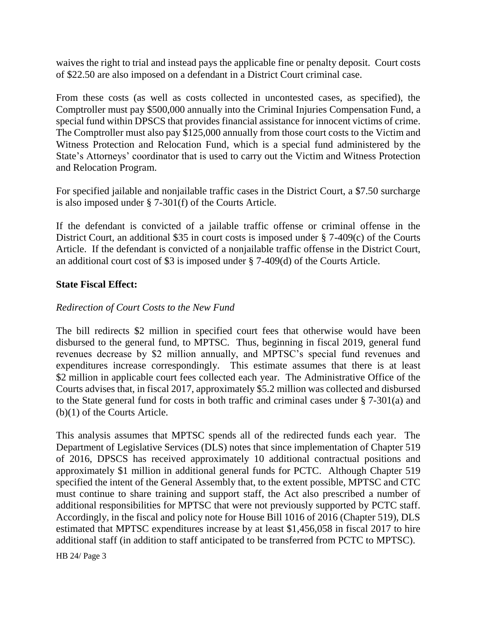waives the right to trial and instead pays the applicable fine or penalty deposit. Court costs of \$22.50 are also imposed on a defendant in a District Court criminal case.

From these costs (as well as costs collected in uncontested cases, as specified), the Comptroller must pay \$500,000 annually into the Criminal Injuries Compensation Fund, a special fund within DPSCS that provides financial assistance for innocent victims of crime. The Comptroller must also pay \$125,000 annually from those court costs to the Victim and Witness Protection and Relocation Fund, which is a special fund administered by the State's Attorneys' coordinator that is used to carry out the Victim and Witness Protection and Relocation Program.

For specified jailable and nonjailable traffic cases in the District Court, a \$7.50 surcharge is also imposed under § 7-301(f) of the Courts Article.

If the defendant is convicted of a jailable traffic offense or criminal offense in the District Court, an additional \$35 in court costs is imposed under § 7-409(c) of the Courts Article. If the defendant is convicted of a nonjailable traffic offense in the District Court, an additional court cost of \$3 is imposed under § 7-409(d) of the Courts Article.

## **State Fiscal Effect:**

## *Redirection of Court Costs to the New Fund*

The bill redirects \$2 million in specified court fees that otherwise would have been disbursed to the general fund, to MPTSC. Thus, beginning in fiscal 2019, general fund revenues decrease by \$2 million annually, and MPTSC's special fund revenues and expenditures increase correspondingly. This estimate assumes that there is at least \$2 million in applicable court fees collected each year. The Administrative Office of the Courts advises that, in fiscal 2017, approximately \$5.2 million was collected and disbursed to the State general fund for costs in both traffic and criminal cases under § 7-301(a) and (b)(1) of the Courts Article.

This analysis assumes that MPTSC spends all of the redirected funds each year. The Department of Legislative Services (DLS) notes that since implementation of Chapter 519 of 2016, DPSCS has received approximately 10 additional contractual positions and approximately \$1 million in additional general funds for PCTC. Although Chapter 519 specified the intent of the General Assembly that, to the extent possible, MPTSC and CTC must continue to share training and support staff, the Act also prescribed a number of additional responsibilities for MPTSC that were not previously supported by PCTC staff. Accordingly, in the fiscal and policy note for House Bill 1016 of 2016 (Chapter 519), DLS estimated that MPTSC expenditures increase by at least \$1,456,058 in fiscal 2017 to hire additional staff (in addition to staff anticipated to be transferred from PCTC to MPTSC).

HB 24/ Page 3